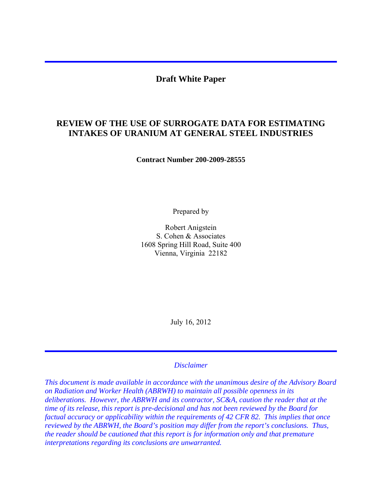## **Draft White Paper**

# **REVIEW OF THE USE OF SURROGATE DATA FOR ESTIMATING INTAKES OF URANIUM AT GENERAL STEEL INDUSTRIES**

**Contract Number 200-2009-28555** 

Prepared by

Robert Anigstein S. Cohen & Associates 1608 Spring Hill Road, Suite 400 Vienna, Virginia 22182

July 16, 2012

#### *Disclaimer*

*This document is made available in accordance with the unanimous desire of the Advisory Board on Radiation and Worker Health (ABRWH) to maintain all possible openness in its deliberations. However, the ABRWH and its contractor, SC&A, caution the reader that at the time of its release, this report is pre-decisional and has not been reviewed by the Board for factual accuracy or applicability within the requirements of 42 CFR 82. This implies that once reviewed by the ABRWH, the Board's position may differ from the report's conclusions. Thus, the reader should be cautioned that this report is for information only and that premature interpretations regarding its conclusions are unwarranted.*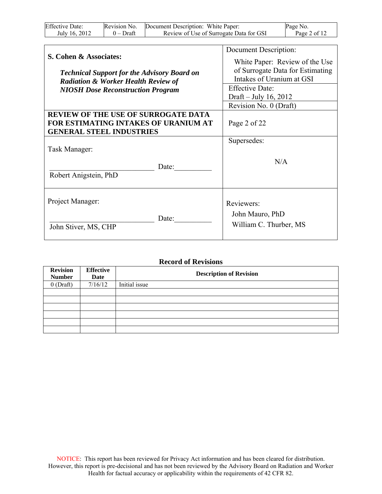| <b>Effective Date:</b> | Revision No. | Document Description: White Paper:      | Page No.     |
|------------------------|--------------|-----------------------------------------|--------------|
| July 16, 2012          | $0$ – Draft  | Review of Use of Surrogate Data for GSI | Page 2 of 12 |

| S. Cohen & Associates:<br><b>Technical Support for the Advisory Board on</b><br><b>Radiation &amp; Worker Health Review of</b> | Document Description:<br>White Paper: Review of the Use<br>of Surrogate Data for Estimating<br>Intakes of Uranium at GSI<br><b>Effective Date:</b><br>Draft – July 16, 2012 |  |
|--------------------------------------------------------------------------------------------------------------------------------|-----------------------------------------------------------------------------------------------------------------------------------------------------------------------------|--|
| <b>NIOSH Dose Reconstruction Program</b>                                                                                       |                                                                                                                                                                             |  |
| <b>REVIEW OF THE USE OF SURROGATE DATA</b><br>FOR ESTIMATING INTAKES OF URANIUM AT<br><b>GENERAL STEEL INDUSTRIES</b>          | Revision No. 0 (Draft)<br>Page 2 of 22                                                                                                                                      |  |
| Task Manager:<br>Date:<br>Robert Anigstein, PhD                                                                                | Supersedes:<br>N/A                                                                                                                                                          |  |
| Project Manager:<br>Date:<br>John Stiver, MS, CHP                                                                              | Reviewers:<br>John Mauro, PhD<br>William C. Thurber, MS                                                                                                                     |  |

## **Record of Revisions**

| <b>Revision</b><br><b>Number</b> | <b>Effective</b><br>Date | <b>Description of Revision</b> |
|----------------------------------|--------------------------|--------------------------------|
| $0$ (Draft)                      | 7/16/12                  | Initial issue                  |
|                                  |                          |                                |
|                                  |                          |                                |
|                                  |                          |                                |
|                                  |                          |                                |
|                                  |                          |                                |
|                                  |                          |                                |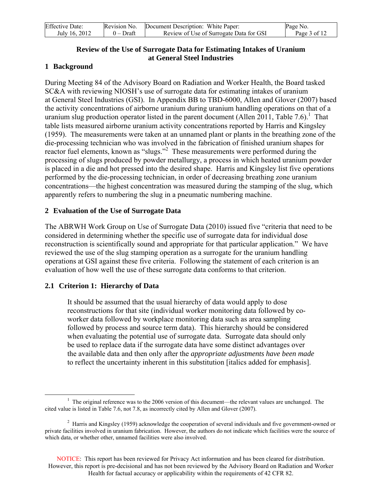| <b>Effective Date:</b> | Revision No. | Document Description: White Paper:      | Page No.     |
|------------------------|--------------|-----------------------------------------|--------------|
| July 16, 2012          | $0$ – Draft  | Review of Use of Surrogate Data for GSI | Page 3 of 12 |

### **Review of the Use of Surrogate Data for Estimating Intakes of Uranium at General Steel Industries**

## **1 Background**

During Meeting 84 of the Advisory Board on Radiation and Worker Health, the Board tasked SC&A with reviewing NIOSH's use of surrogate data for estimating intakes of uranium at General Steel Industries (GSI). In Appendix BB to TBD-6000, Allen and Glover (2007) based the activity concentrations of airborne uranium during uranium handling operations on that of a uranium slug production operator listed in the parent document (Allen 2011, Table 7.6).<sup>1</sup> That table lists measured airborne uranium activity concentrations reported by Harris and Kingsley (1959). The measurements were taken at an unnamed plant or plants in the breathing zone of the die-processing technician who was involved in the fabrication of finished uranium shapes for reactor fuel elements, known as "slugs."<sup>2</sup> These measurements were performed during the processing of slugs produced by powder metallurgy, a process in which heated uranium powder is placed in a die and hot pressed into the desired shape. Harris and Kingsley list five operations performed by the die-processing technician, in order of decreasing breathing zone uranium concentrations—the highest concentration was measured during the stamping of the slug, which apparently refers to numbering the slug in a pneumatic numbering machine.

### **2 Evaluation of the Use of Surrogate Data**

The ABRWH Work Group on Use of Surrogate Data (2010) issued five "criteria that need to be considered in determining whether the specific use of surrogate data for individual dose reconstruction is scientifically sound and appropriate for that particular application." We have reviewed the use of the slug stamping operation as a surrogate for the uranium handling operations at GSI against these five criteria. Following the statement of each criterion is an evaluation of how well the use of these surrogate data conforms to that criterion.

### **2.1 Criterion 1: Hierarchy of Data**

It should be assumed that the usual hierarchy of data would apply to dose reconstructions for that site (individual worker monitoring data followed by coworker data followed by workplace monitoring data such as area sampling followed by process and source term data). This hierarchy should be considered when evaluating the potential use of surrogate data. Surrogate data should only be used to replace data if the surrogate data have some distinct advantages over the available data and then only after the *appropriate adjustments have been made*  to reflect the uncertainty inherent in this substitution [italics added for emphasis].

 NOTICE: This report has been reviewed for Privacy Act information and has been cleared for distribution. However, this report is pre-decisional and has not been reviewed by the Advisory Board on Radiation and Worker Health for factual accuracy or applicability within the requirements of 42 CFR 82.

<sup>-</sup> $<sup>1</sup>$  The original reference was to the 2006 version of this document—the relevant values are unchanged. The</sup> cited value is listed in Table 7.6, not 7.8, as incorrectly cited by Allen and Glover (2007).

 $2$  Harris and Kingsley (1959) acknowledge the cooperation of several individuals and five government-owned or private facilities involved in uranium fabrication. However, the authors do not indicate which facilities were the source of which data, or whether other, unnamed facilities were also involved.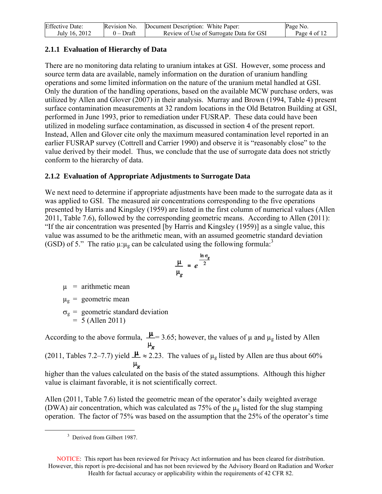| <b>Effective Date:</b> | Revision No. | Document Description: White Paper:      | Page No.     |
|------------------------|--------------|-----------------------------------------|--------------|
| July 16, 2012          | 0 – Draft    | Review of Use of Surrogate Data for GSI | Page 4 of 12 |

## **2.1.1 Evaluation of Hierarchy of Data**

There are no monitoring data relating to uranium intakes at GSI. However, some process and source term data are available, namely information on the duration of uranium handling operations and some limited information on the nature of the uranium metal handled at GSI. Only the duration of the handling operations, based on the available MCW purchase orders, was utilized by Allen and Glover (2007) in their analysis. Murray and Brown (1994, Table 4) present surface contamination measurements at 32 random locations in the Old Betatron Building at GSI, performed in June 1993, prior to remediation under FUSRAP. These data could have been utilized in modeling surface contamination, as discussed in section 4 of the present report. Instead, Allen and Glover cite only the maximum measured contamination level reported in an earlier FUSRAP survey (Cottrell and Carrier 1990) and observe it is "reasonably close" to the value derived by their model. Thus, we conclude that the use of surrogate data does not strictly conform to the hierarchy of data.

## **2.1.2 Evaluation of Appropriate Adjustments to Surrogate Data**

We next need to determine if appropriate adjustments have been made to the surrogate data as it was applied to GSI. The measured air concentrations corresponding to the five operations presented by Harris and Kingsley (1959) are listed in the first column of numerical values (Allen 2011, Table 7.6), followed by the corresponding geometric means. According to Allen (2011): "If the air concentration was presented [by Harris and Kingsley (1959)] as a single value, this value was assumed to be the arithmetic mean, with an assumed geometric standard deviation (GSD) of 5." The ratio  $\mu:\mu_{\rm g}$  can be calculated using the following formula:<sup>3</sup>

$$
\frac{\mu}{\mu_g} = e^{\frac{\ln \sigma_g}{2}}
$$

 $\mu$  = arithmetic mean

 $\mu_{g}$  = geometric mean

 $\sigma_{\rm g}$  = geometric standard deviation  $= 5$  (Allen 2011)

 $\mu_{\sigma}$ 

According to the above formula,  $\frac{\mu}{\mu_g}$  = 3.65; however, the values of  $\mu$  and  $\mu_g$  listed by Allen (2011, Tables 7.2–7.7) yield  $\frac{\mu}{\epsilon} \approx 2.23$ . The values of  $\mu_{g}$  listed by Allen are thus about 60%

higher than the values calculated on the basis of the stated assumptions. Although this higher value is claimant favorable, it is not scientifically correct.

Allen (2011, Table 7.6) listed the geometric mean of the operator's daily weighted average (DWA) air concentration, which was calculated as 75% of the  $\mu<sub>g</sub>$  listed for the slug stamping operation. The factor of 75% was based on the assumption that the 25% of the operator's time

<u>.</u>

 NOTICE: This report has been reviewed for Privacy Act information and has been cleared for distribution. However, this report is pre-decisional and has not been reviewed by the Advisory Board on Radiation and Worker Health for factual accuracy or applicability within the requirements of 42 CFR 82.

<sup>&</sup>lt;sup>3</sup> Derived from Gilbert 1987.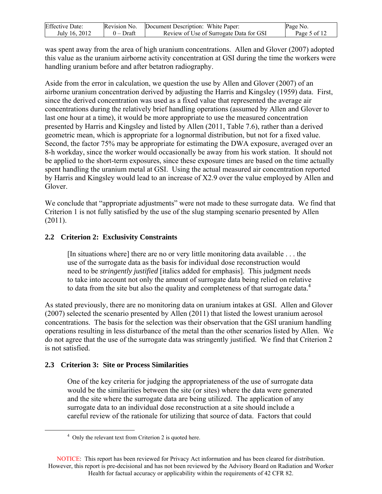| <b>Effective Date:</b> | Revision No. | Document Description: White Paper:      | Page No.     |
|------------------------|--------------|-----------------------------------------|--------------|
| July 16, 2012          | $0$ – Draft  | Review of Use of Surrogate Data for GSI | Page 5 of 12 |

was spent away from the area of high uranium concentrations. Allen and Glover (2007) adopted this value as the uranium airborne activity concentration at GSI during the time the workers were handling uranium before and after betatron radiography.

Aside from the error in calculation, we question the use by Allen and Glover (2007) of an airborne uranium concentration derived by adjusting the Harris and Kingsley (1959) data. First, since the derived concentration was used as a fixed value that represented the average air concentrations during the relatively brief handling operations (assumed by Allen and Glover to last one hour at a time), it would be more appropriate to use the measured concentration presented by Harris and Kingsley and listed by Allen (2011, Table 7.6), rather than a derived geometric mean, which is appropriate for a lognormal distribution, but not for a fixed value. Second, the factor 75% may be appropriate for estimating the DWA exposure, averaged over an 8-h workday, since the worker would occasionally be away from his work station. It should not be applied to the short-term exposures, since these exposure times are based on the time actually spent handling the uranium metal at GSI. Using the actual measured air concentration reported by Harris and Kingsley would lead to an increase of X2.9 over the value employed by Allen and **Glover** 

We conclude that "appropriate adjustments" were not made to these surrogate data. We find that Criterion 1 is not fully satisfied by the use of the slug stamping scenario presented by Allen (2011).

## **2.2 Criterion 2: Exclusivity Constraints**

[In situations where] there are no or very little monitoring data available . . . the use of the surrogate data as the basis for individual dose reconstruction would need to be *stringently justified* [italics added for emphasis]. This judgment needs to take into account not only the amount of surrogate data being relied on relative to data from the site but also the quality and completeness of that surrogate data.<sup>4</sup>

As stated previously, there are no monitoring data on uranium intakes at GSI. Allen and Glover (2007) selected the scenario presented by Allen (2011) that listed the lowest uranium aerosol concentrations. The basis for the selection was their observation that the GSI uranium handling operations resulting in less disturbance of the metal than the other scenarios listed by Allen. We do not agree that the use of the surrogate data was stringently justified. We find that Criterion 2 is not satisfied.

### **2.3 Criterion 3: Site or Process Similarities**

<u>.</u>

One of the key criteria for judging the appropriateness of the use of surrogate data would be the similarities between the site (or sites) where the data were generated and the site where the surrogate data are being utilized. The application of any surrogate data to an individual dose reconstruction at a site should include a careful review of the rationale for utilizing that source of data. Factors that could

<sup>&</sup>lt;sup>4</sup> Only the relevant text from Criterion 2 is quoted here.

 NOTICE: This report has been reviewed for Privacy Act information and has been cleared for distribution. However, this report is pre-decisional and has not been reviewed by the Advisory Board on Radiation and Worker Health for factual accuracy or applicability within the requirements of 42 CFR 82.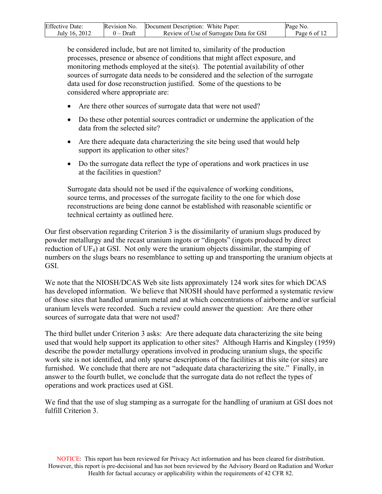| <b>Effective Date:</b> | Revision No. | Document Description: White Paper:      | Page No.     |
|------------------------|--------------|-----------------------------------------|--------------|
| July 16, 2012          | $0$ – Draft  | Review of Use of Surrogate Data for GSI | Page 6 of 12 |

be considered include, but are not limited to, similarity of the production processes, presence or absence of conditions that might affect exposure, and monitoring methods employed at the site(s). The potential availability of other sources of surrogate data needs to be considered and the selection of the surrogate data used for dose reconstruction justified. Some of the questions to be considered where appropriate are:

- Are there other sources of surrogate data that were not used?
- Do these other potential sources contradict or undermine the application of the data from the selected site?
- Are there adequate data characterizing the site being used that would help support its application to other sites?
- Do the surrogate data reflect the type of operations and work practices in use at the facilities in question?

Surrogate data should not be used if the equivalence of working conditions, source terms, and processes of the surrogate facility to the one for which dose reconstructions are being done cannot be established with reasonable scientific or technical certainty as outlined here.

Our first observation regarding Criterion 3 is the dissimilarity of uranium slugs produced by powder metallurgy and the recast uranium ingots or "dingots" (ingots produced by direct reduction of UF4) at GSI. Not only were the uranium objects dissimilar, the stamping of numbers on the slugs bears no resemblance to setting up and transporting the uranium objects at GSI.

We note that the NIOSH/DCAS Web site lists approximately 124 work sites for which DCAS has developed information. We believe that NIOSH should have performed a systematic review of those sites that handled uranium metal and at which concentrations of airborne and/or surficial uranium levels were recorded. Such a review could answer the question: Are there other sources of surrogate data that were not used?

The third bullet under Criterion 3 asks: Are there adequate data characterizing the site being used that would help support its application to other sites? Although Harris and Kingsley (1959) describe the powder metallurgy operations involved in producing uranium slugs, the specific work site is not identified, and only sparse descriptions of the facilities at this site (or sites) are furnished. We conclude that there are not "adequate data characterizing the site." Finally, in answer to the fourth bullet, we conclude that the surrogate data do not reflect the types of operations and work practices used at GSI.

We find that the use of slug stamping as a surrogate for the handling of uranium at GSI does not fulfill Criterion 3.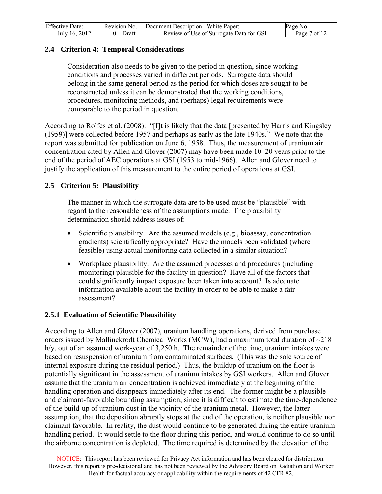| <b>Effective Date:</b> | Revision No. | Document Description: White Paper:      | Page No.     |
|------------------------|--------------|-----------------------------------------|--------------|
| July 16, 2012          | $0$ – Draft  | Review of Use of Surrogate Data for GSI | Page 7 of 12 |

### **2.4 Criterion 4: Temporal Considerations**

Consideration also needs to be given to the period in question, since working conditions and processes varied in different periods. Surrogate data should belong in the same general period as the period for which doses are sought to be reconstructed unless it can be demonstrated that the working conditions, procedures, monitoring methods, and (perhaps) legal requirements were comparable to the period in question.

According to Rolfes et al. (2008): "[I]t is likely that the data [presented by Harris and Kingsley (1959)] were collected before 1957 and perhaps as early as the late 1940s." We note that the report was submitted for publication on June 6, 1958. Thus, the measurement of uranium air concentration cited by Allen and Glover (2007) may have been made 10–20 years prior to the end of the period of AEC operations at GSI (1953 to mid-1966). Allen and Glover need to justify the application of this measurement to the entire period of operations at GSI.

#### **2.5 Criterion 5: Plausibility**

The manner in which the surrogate data are to be used must be "plausible" with regard to the reasonableness of the assumptions made. The plausibility determination should address issues of:

- Scientific plausibility. Are the assumed models (e.g., bioassay, concentration gradients) scientifically appropriate? Have the models been validated (where feasible) using actual monitoring data collected in a similar situation?
- Workplace plausibility. Are the assumed processes and procedures (including monitoring) plausible for the facility in question? Have all of the factors that could significantly impact exposure been taken into account? Is adequate information available about the facility in order to be able to make a fair assessment?

#### **2.5.1 Evaluation of Scientific Plausibility**

According to Allen and Glover (2007), uranium handling operations, derived from purchase orders issued by Mallinckrodt Chemical Works (MCW), had a maximum total duration of ~218 h/y, out of an assumed work-year of 3,250 h. The remainder of the time, uranium intakes were based on resuspension of uranium from contaminated surfaces. (This was the sole source of internal exposure during the residual period.) Thus, the buildup of uranium on the floor is potentially significant in the assessment of uranium intakes by GSI workers. Allen and Glover assume that the uranium air concentration is achieved immediately at the beginning of the handling operation and disappears immediately after its end. The former might be a plausible and claimant-favorable bounding assumption, since it is difficult to estimate the time-dependence of the build-up of uranium dust in the vicinity of the uranium metal. However, the latter assumption, that the deposition abruptly stops at the end of the operation, is neither plausible nor claimant favorable. In reality, the dust would continue to be generated during the entire uranium handling period. It would settle to the floor during this period, and would continue to do so until the airborne concentration is depleted. The time required is determined by the elevation of the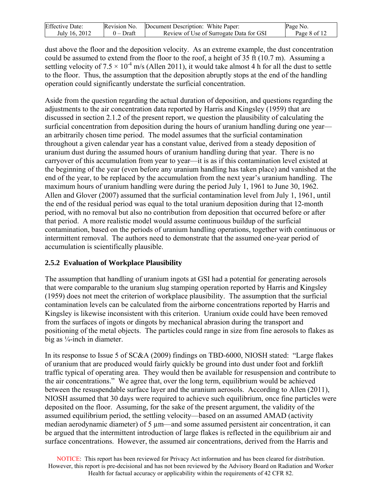| <b>Effective Date:</b> | Revision No. | Document Description: White Paper:      | Page No.     |
|------------------------|--------------|-----------------------------------------|--------------|
| July 16, 2012          | $0$ – Draft  | Review of Use of Surrogate Data for GSI | Page 8 of 12 |

dust above the floor and the deposition velocity. As an extreme example, the dust concentration could be assumed to extend from the floor to the roof, a height of 35 ft (10.7 m). Assuming a settling velocity of  $7.5 \times 10^{-4}$  m/s (Allen 2011), it would take almost 4 h for all the dust to settle to the floor. Thus, the assumption that the deposition abruptly stops at the end of the handling operation could significantly understate the surficial concentration.

Aside from the question regarding the actual duration of deposition, and questions regarding the adjustments to the air concentration data reported by Harris and Kingsley (1959) that are discussed in section 2.1.2 of the present report, we question the plausibility of calculating the surficial concentration from deposition during the hours of uranium handling during one year an arbitrarily chosen time period. The model assumes that the surficial contamination throughout a given calendar year has a constant value, derived from a steady deposition of uranium dust during the assumed hours of uranium handling during that year. There is no carryover of this accumulation from year to year—it is as if this contamination level existed at the beginning of the year (even before any uranium handling has taken place) and vanished at the end of the year, to be replaced by the accumulation from the next year's uranium handling. The maximum hours of uranium handling were during the period July 1, 1961 to June 30, 1962. Allen and Glover (2007) assumed that the surficial contamination level from July 1, 1961, until the end of the residual period was equal to the total uranium deposition during that 12-month period, with no removal but also no contribution from deposition that occurred before or after that period. A more realistic model would assume continuous buildup of the surficial contamination, based on the periods of uranium handling operations, together with continuous or intermittent removal. The authors need to demonstrate that the assumed one-year period of accumulation is scientifically plausible.

### **2.5.2 Evaluation of Workplace Plausibility**

The assumption that handling of uranium ingots at GSI had a potential for generating aerosols that were comparable to the uranium slug stamping operation reported by Harris and Kingsley (1959) does not meet the criterion of workplace plausibility. The assumption that the surficial contamination levels can be calculated from the airborne concentrations reported by Harris and Kingsley is likewise inconsistent with this criterion. Uranium oxide could have been removed from the surfaces of ingots or dingots by mechanical abrasion during the transport and positioning of the metal objects. The particles could range in size from fine aerosols to flakes as big as  $\frac{1}{4}$ -inch in diameter.

In its response to Issue 5 of SC&A (2009) findings on TBD-6000, NIOSH stated: "Large flakes of uranium that are produced would fairly quickly be ground into dust under foot and forklift traffic typical of operating area. They would then be available for resuspension and contribute to the air concentrations." We agree that, over the long term, equilibrium would be achieved between the resuspendable surface layer and the uranium aerosols. According to Allen (2011), NIOSH assumed that 30 days were required to achieve such equilibrium, once fine particles were deposited on the floor. Assuming, for the sake of the present argument, the validity of the assumed equilibrium period, the settling velocity—based on an assumed AMAD (activity median aerodynamic diameter) of 5 µm—and some assumed persistent air concentration, it can be argued that the intermittent introduction of large flakes is reflected in the equilibrium air and surface concentrations. However, the assumed air concentrations, derived from the Harris and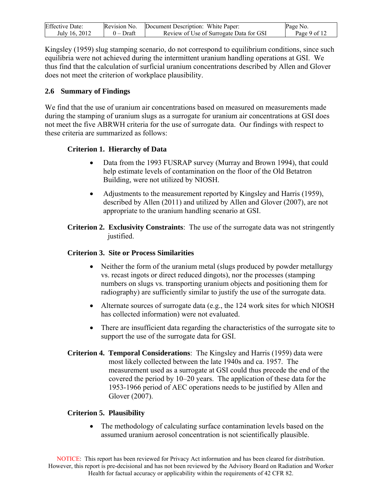| <b>Effective Date:</b> | Revision No. | Document Description: White Paper:      | Page No.     |
|------------------------|--------------|-----------------------------------------|--------------|
| July 16, 2012          | $0$ – Draft  | Review of Use of Surrogate Data for GSI | Page 9 of 12 |

Kingsley (1959) slug stamping scenario, do not correspond to equilibrium conditions, since such equilibria were not achieved during the intermittent uranium handling operations at GSI. We thus find that the calculation of surficial uranium concentrations described by Allen and Glover does not meet the criterion of workplace plausibility.

### **2.6 Summary of Findings**

We find that the use of uranium air concentrations based on measured on measurements made during the stamping of uranium slugs as a surrogate for uranium air concentrations at GSI does not meet the five ABRWH criteria for the use of surrogate data. Our findings with respect to these criteria are summarized as follows:

## **Criterion 1. Hierarchy of Data**

- Data from the 1993 FUSRAP survey (Murray and Brown 1994), that could help estimate levels of contamination on the floor of the Old Betatron Building, were not utilized by NIOSH.
- Adjustments to the measurement reported by Kingsley and Harris (1959), described by Allen (2011) and utilized by Allen and Glover (2007), are not appropriate to the uranium handling scenario at GSI.
- **Criterion 2. Exclusivity Constraints**: The use of the surrogate data was not stringently justified.

### **Criterion 3. Site or Process Similarities**

- Neither the form of the uranium metal (slugs produced by powder metallurgy vs. recast ingots or direct reduced dingots), nor the processes (stamping numbers on slugs vs. transporting uranium objects and positioning them for radiography) are sufficiently similar to justify the use of the surrogate data.
- Alternate sources of surrogate data (e.g., the 124 work sites for which NIOSH has collected information) were not evaluated.
- There are insufficient data regarding the characteristics of the surrogate site to support the use of the surrogate data for GSI.
- **Criterion 4. Temporal Considerations**: The Kingsley and Harris (1959) data were most likely collected between the late 1940s and ca. 1957. The measurement used as a surrogate at GSI could thus precede the end of the covered the period by 10–20 years. The application of these data for the 1953-1966 period of AEC operations needs to be justified by Allen and Glover (2007).

### **Criterion 5. Plausibility**

 The methodology of calculating surface contamination levels based on the assumed uranium aerosol concentration is not scientifically plausible.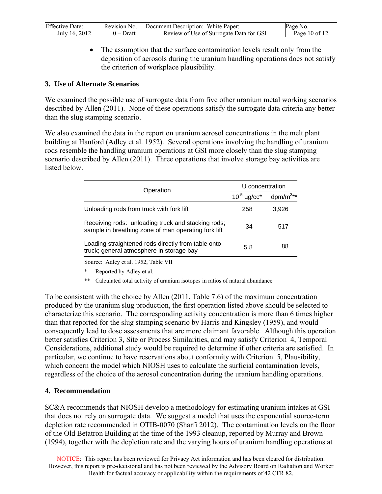| <b>Effective Date:</b> | Revision No. | Document Description: White Paper:      | Page No.      |
|------------------------|--------------|-----------------------------------------|---------------|
| July 16, 2012          | $0$ – Draft  | Review of Use of Surrogate Data for GSI | Page 10 of 12 |

• The assumption that the surface contamination levels result only from the deposition of aerosols during the uranium handling operations does not satisfy the criterion of workplace plausibility.

#### **3. Use of Alternate Scenarios**

We examined the possible use of surrogate data from five other uranium metal working scenarios described by Allen (2011). None of these operations satisfy the surrogate data criteria any better than the slug stamping scenario.

We also examined the data in the report on uranium aerosol concentrations in the melt plant building at Hanford (Adley et al. 1952). Several operations involving the handling of uranium rods resemble the handling uranium operations at GSI more closely than the slug stamping scenario described by Allen (2011). Three operations that involve storage bay activities are listed below.

| Operation                                                                                                 | U concentration              |                |
|-----------------------------------------------------------------------------------------------------------|------------------------------|----------------|
|                                                                                                           | $10^{-5}$ µg/cc <sup>*</sup> | dpm/ $m^{3**}$ |
| Unloading rods from truck with fork lift                                                                  | 258                          | 3.926          |
| Receiving rods: unloading truck and stacking rods;<br>sample in breathing zone of man operating fork lift | 34                           | 517            |
| Loading straightened rods directly from table onto<br>truck; general atmosphere in storage bay            | 5.8                          | 88             |

Source: Adley et al. 1952, Table VII

Reported by Adley et al.

\*\* Calculated total activity of uranium isotopes in ratios of natural abundance

To be consistent with the choice by Allen (2011, Table 7.6) of the maximum concentration produced by the uranium slug production, the first operation listed above should be selected to characterize this scenario. The corresponding activity concentration is more than 6 times higher than that reported for the slug stamping scenario by Harris and Kingsley (1959), and would consequently lead to dose assessments that are more claimant favorable. Although this operation better satisfies Criterion 3, Site or Process Similarities, and may satisfy Criterion 4, Temporal Considerations, additional study would be required to determine if other criteria are satisfied. In particular, we continue to have reservations about conformity with Criterion 5, Plausibility, which concern the model which NIOSH uses to calculate the surficial contamination levels, regardless of the choice of the aerosol concentration during the uranium handling operations.

### **4. Recommendation**

SC&A recommends that NIOSH develop a methodology for estimating uranium intakes at GSI that does not rely on surrogate data. We suggest a model that uses the exponential source-term depletion rate recommended in OTIB-0070 (Sharfi 2012). The contamination levels on the floor of the Old Betatron Building at the time of the 1993 cleanup, reported by Murray and Brown (1994), together with the depletion rate and the varying hours of uranium handling operations at

 NOTICE: This report has been reviewed for Privacy Act information and has been cleared for distribution. However, this report is pre-decisional and has not been reviewed by the Advisory Board on Radiation and Worker Health for factual accuracy or applicability within the requirements of 42 CFR 82.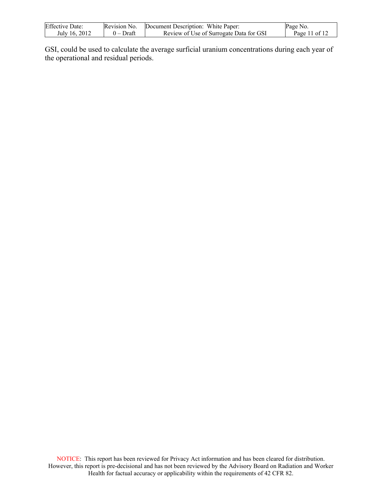| <b>Effective Date:</b> | Revision No. | Document Description: White Paper:      | Page No.      |
|------------------------|--------------|-----------------------------------------|---------------|
| July 16, 2012          | $0$ – Draft  | Review of Use of Surrogate Data for GSI | Page 11 of 12 |

GSI, could be used to calculate the average surficial uranium concentrations during each year of the operational and residual periods.